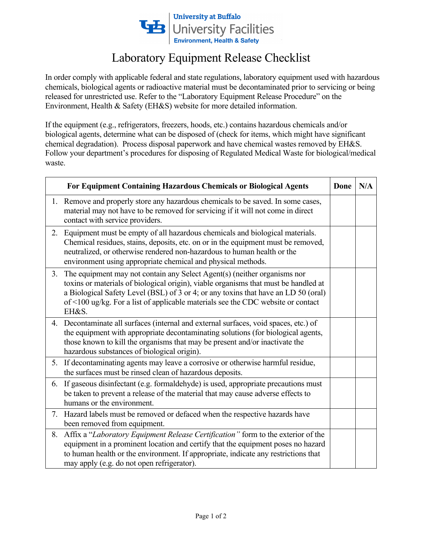

## Laboratory Equipment Release Checklist

 released for unrestricted use. Refer to the "Laboratory Equipment Release Procedure" on the In order comply with applicable federal and state regulations, laboratory equipment used with hazardous chemicals, biological agents or radioactive material must be decontaminated prior to servicing or being Environment, Health & Safety (EH&S) website for more detailed information.

If the equipment (e.g., refrigerators, freezers, hoods, etc.) contains hazardous chemicals and/or biological agents, determine what can be disposed of (check for items, which might have significant chemical degradation). Process disposal paperwork and have chemical wastes removed by EH&S. Follow your department's procedures for disposing of Regulated Medical Waste for biological/medical waste.

| For Equipment Containing Hazardous Chemicals or Biological Agents |                                                                                                                                                                                                                                                                                                                                                    | Done | N/A |
|-------------------------------------------------------------------|----------------------------------------------------------------------------------------------------------------------------------------------------------------------------------------------------------------------------------------------------------------------------------------------------------------------------------------------------|------|-----|
|                                                                   | 1. Remove and properly store any hazardous chemicals to be saved. In some cases,<br>material may not have to be removed for servicing if it will not come in direct<br>contact with service providers.                                                                                                                                             |      |     |
| 2.                                                                | Equipment must be empty of all hazardous chemicals and biological materials.<br>Chemical residues, stains, deposits, etc. on or in the equipment must be removed,<br>neutralized, or otherwise rendered non-hazardous to human health or the<br>environment using appropriate chemical and physical methods.                                       |      |     |
| 3.                                                                | The equipment may not contain any Select Agent(s) (neither organisms nor<br>toxins or materials of biological origin), viable organisms that must be handled at<br>a Biological Safety Level (BSL) of 3 or 4; or any toxins that have an LD 50 (oral)<br>of <100 ug/kg. For a list of applicable materials see the CDC website or contact<br>EH&S. |      |     |
|                                                                   | 4. Decontaminate all surfaces (internal and external surfaces, void spaces, etc.) of<br>the equipment with appropriate decontaminating solutions (for biological agents,<br>those known to kill the organisms that may be present and/or inactivate the<br>hazardous substances of biological origin).                                             |      |     |
| 5.                                                                | If decontaminating agents may leave a corrosive or otherwise harmful residue,<br>the surfaces must be rinsed clean of hazardous deposits.                                                                                                                                                                                                          |      |     |
| 6.                                                                | If gaseous disinfectant (e.g. formaldehyde) is used, appropriate precautions must<br>be taken to prevent a release of the material that may cause adverse effects to<br>humans or the environment.                                                                                                                                                 |      |     |
| 7.                                                                | Hazard labels must be removed or defaced when the respective hazards have<br>been removed from equipment.                                                                                                                                                                                                                                          |      |     |
| 8.                                                                | Affix a "Laboratory Equipment Release Certification" form to the exterior of the<br>equipment in a prominent location and certify that the equipment poses no hazard<br>to human health or the environment. If appropriate, indicate any restrictions that<br>may apply (e.g. do not open refrigerator).                                           |      |     |